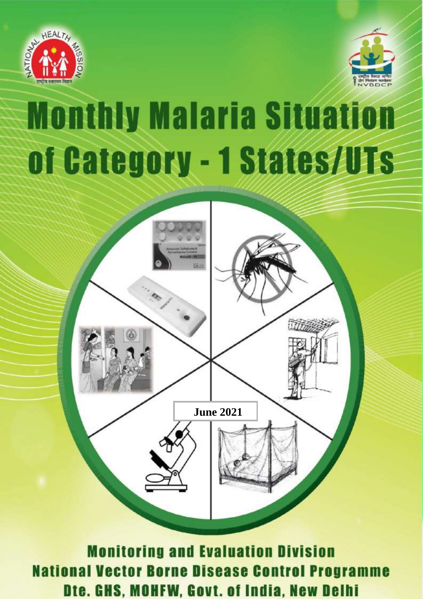



# **Monthly Malaria Situation** 1) Summary sheet - Category I states2-5 een al die beskrike 3) Daman and Diu 8-9



**Monitoring and Evaluation Division National Vector Borne Disease Control Programme** Dte. GHS, MOHFW, Govt. of India, New Delhi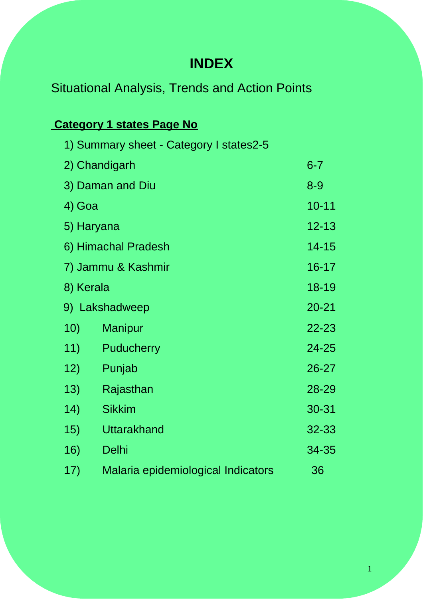# **INDEX**

# Situational Analysis, Trends and Action Points

# **Category 1 states Page No**

|           | 1) Summary sheet - Category I states2-5 |           |
|-----------|-----------------------------------------|-----------|
|           | 2) Chandigarh                           | $6 - 7$   |
|           | 3) Daman and Diu                        | $8 - 9$   |
| 4) Goa    |                                         | $10 - 11$ |
|           | 5) Haryana                              | $12 - 13$ |
|           | 6) Himachal Pradesh                     | 14-15     |
|           | 7) Jammu & Kashmir                      | $16 - 17$ |
| 8) Kerala |                                         | 18-19     |
|           | 9) Lakshadweep                          | $20 - 21$ |
| 10)       | <b>Manipur</b>                          | 22-23     |
| 11)       | <b>Puducherry</b>                       | 24-25     |
| 12)       | Punjab                                  | 26-27     |
| 13)       | Rajasthan                               | 28-29     |
| 14)       | <b>Sikkim</b>                           | 30-31     |
| 15)       | <b>Uttarakhand</b>                      | 32-33     |
| 16)       | <b>Delhi</b>                            | 34-35     |
| 17)       | Malaria epidemiological Indicators      | 36        |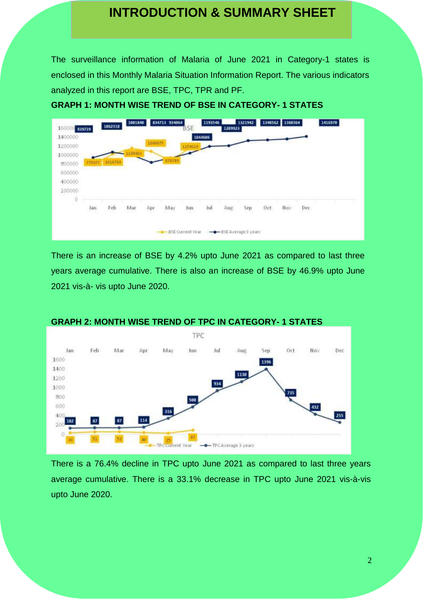## **INTRODUCTION & SUMMARY SHEET**

The surveillance information of Malaria of June 2021 in Category-1 states is enclosed in this Monthly Malaria Situation Information Report. The various indicators analyzed in this report are BSE, TPC, TPR and PF.

**GRAPH 1: MONTH WISE TREND OF BSE IN CATEGORY- 1 STATES**



There is an increase of BSE by 4.2% upto June 2021 as compared to last three years average cumulative. There is also an increase of BSE by 46.9% upto June 2021 vis-à- vis upto June 2020.



#### **GRAPH 2: MONTH WISE TREND OF TPC IN CATEGORY- 1 STATES**

There is a 76.4% decline in TPC upto June 2021 as compared to last three years average cumulative. There is a 33.1% decrease in TPC upto June 2021 vis-à-vis upto June 2020.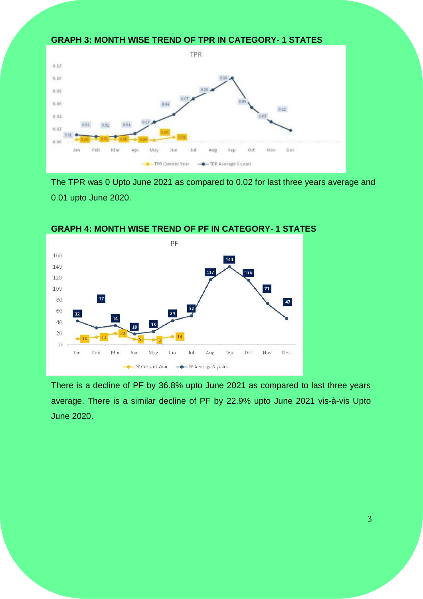#### **GRAPH 3: MONTH WISE TREND OF TPR IN CATEGORY- 1 STATES**



The TPR was 0 Upto June 2021 as compared to 0.02 for last three years average and 0.01 upto June 2020.



**GRAPH 4: MONTH WISE TREND OF PF IN CATEGORY- 1 STATES**

There is a decline of PF by 36.8% upto June 2021 as compared to last three years average. There is a similar decline of PF by 22.9% upto June 2021 vis-à-vis Upto June 2020.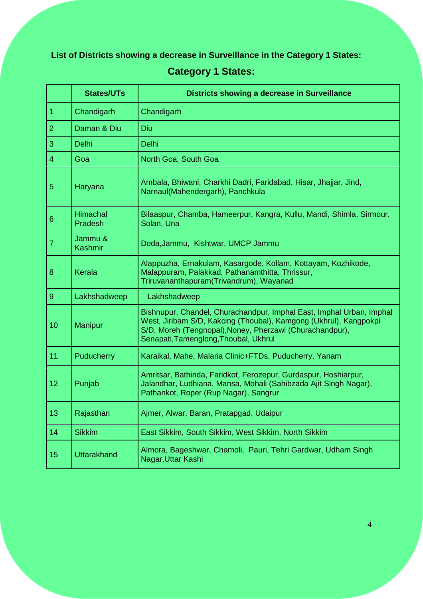### **List of Districts showing a decrease in Surveillance in the Category 1 States:**

### **Category 1 States:**

|                 | <b>States/UTs</b>          | Districts showing a decrease in Surveillance                                                                                                                                                                                                   |
|-----------------|----------------------------|------------------------------------------------------------------------------------------------------------------------------------------------------------------------------------------------------------------------------------------------|
| $\mathbf{1}$    | Chandigarh                 | Chandigarh                                                                                                                                                                                                                                     |
| $\overline{2}$  | Daman & Diu                | Diu                                                                                                                                                                                                                                            |
| 3               | <b>Delhi</b>               | <b>Delhi</b>                                                                                                                                                                                                                                   |
| $\overline{4}$  | Goa                        | North Goa, South Goa                                                                                                                                                                                                                           |
| 5               | Haryana                    | Ambala, Bhiwani, Charkhi Dadri, Faridabad, Hisar, Jhajjar, Jind,<br>Narnaul(Mahendergarh), Panchkula                                                                                                                                           |
| $6\phantom{1}6$ | <b>Himachal</b><br>Pradesh | Bilaaspur, Chamba, Hameerpur, Kangra, Kullu, Mandi, Shimla, Sirmour,<br>Solan, Una                                                                                                                                                             |
| $\overline{7}$  | Jammu &<br><b>Kashmir</b>  | Doda, Jammu, Kishtwar, UMCP Jammu                                                                                                                                                                                                              |
| 8               | <b>Kerala</b>              | Alappuzha, Ernakulam, Kasargode, Kollam, Kottayam, Kozhikode,<br>Malappuram, Palakkad, Pathanamthitta, Thrissur,<br>Triruvananthapuram(Trivandrum), Wayanad                                                                                    |
| $\overline{9}$  | Lakhshadweep               | Lakhshadweep                                                                                                                                                                                                                                   |
| 10              | Manipur                    | Bishnupur, Chandel, Churachandpur, Imphal East, Imphal Urban, Imphal<br>West, Jiribam S/D, Kakcing (Thoubal), Kamgong (Ukhrul), Kangpokpi<br>S/D, Moreh (Tengnopal), Noney, Pherzawl (Churachandpur),<br>Senapati, Tamenglong, Thoubal, Ukhrul |
| 11              | Puducherry                 | Karaikal, Mahe, Malaria Clinic+FTDs, Puducherry, Yanam                                                                                                                                                                                         |
| 12              | Punjab                     | Amritsar, Bathinda, Faridkot, Ferozepur, Gurdaspur, Hoshiarpur,<br>Jalandhar, Ludhiana, Mansa, Mohali (Sahibzada Ajit Singh Nagar),<br>Pathankot, Roper (Rup Nagar), Sangrur                                                                   |
| 13              | Rajasthan                  | Ajmer, Alwar, Baran, Pratapgad, Udaipur                                                                                                                                                                                                        |
| 14              | <b>Sikkim</b>              | East Sikkim, South Sikkim, West Sikkim, North Sikkim                                                                                                                                                                                           |
| 15              | <b>Uttarakhand</b>         | Almora, Bageshwar, Chamoli, Pauri, Tehri Gardwar, Udham Singh<br>Nagar, Uttar Kashi                                                                                                                                                            |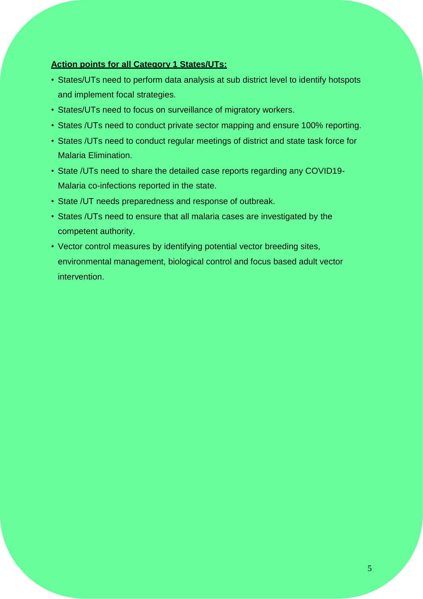#### **Action points for all Category 1 States/UTs:**

- States/UTs need to perform data analysis at sub district level to identify hotspots and implement focal strategies.
- States/UTs need to focus on surveillance of migratory workers.
- States /UTs need to conduct private sector mapping and ensure 100% reporting.
- States /UTs need to conduct regular meetings of district and state task force for Malaria Elimination.
- State /UTs need to share the detailed case reports regarding any COVID19- Malaria co-infections reported in the state.
- State /UT needs preparedness and response of outbreak.
- States /UTs need to ensure that all malaria cases are investigated by the competent authority.
- Vector control measures by identifying potential vector breeding sites, environmental management, biological control and focus based adult vector intervention.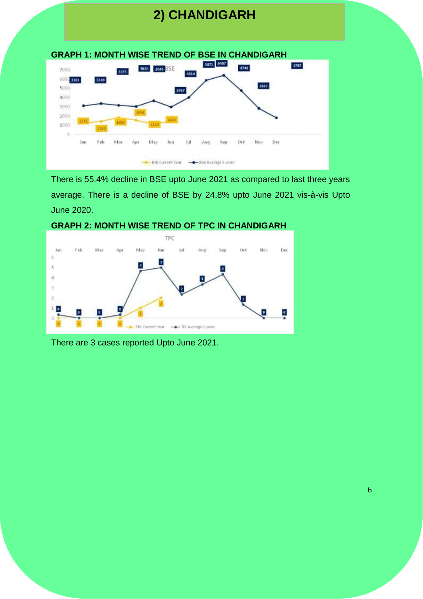# **2) CHANDIGARH**



There is 55.4% decline in BSE upto June 2021 as compared to last three years average. There is a decline of BSE by 24.8% upto June 2021 vis-à-vis Upto June 2020.





There are 3 cases reported Upto June 2021.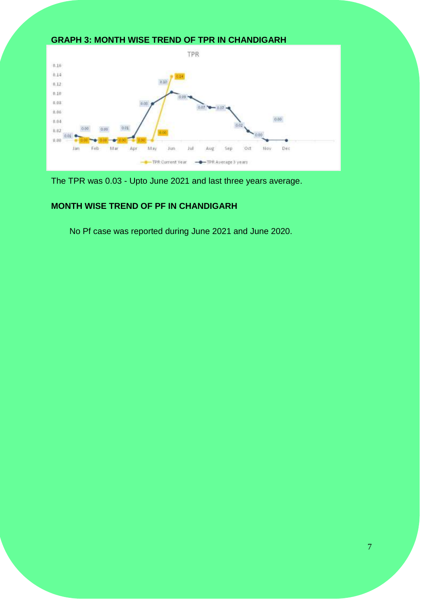#### **GRAPH 3: MONTH WISE TREND OF TPR IN CHANDIGARH**



The TPR was 0.03 - Upto June 2021 and last three years average.

#### **MONTH WISE TREND OF PF IN CHANDIGARH**

No Pf case was reported during June 2021 and June 2020.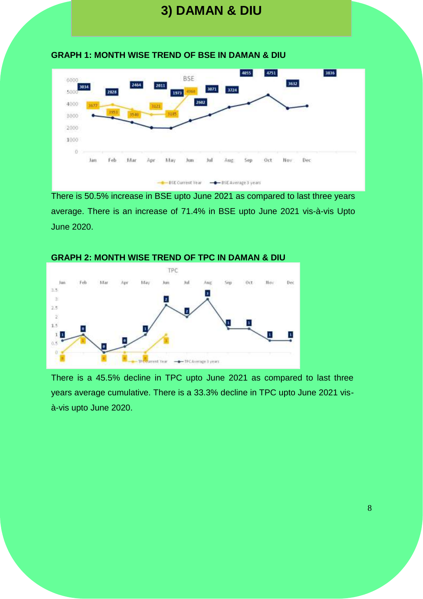# **3) DAMAN & DIU**





There is 50.5% increase in BSE upto June 2021 as compared to last three years average. There is an increase of 71.4% in BSE upto June 2021 vis-à-vis Upto June 2020.



There is a 45.5% decline in TPC upto June 2021 as compared to last three years average cumulative. There is a 33.3% decline in TPC upto June 2021 visà-vis upto June 2020.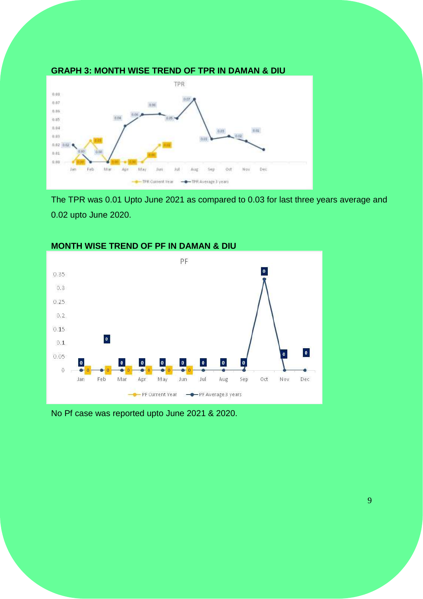

#### **GRAPH 3: MONTH WISE TREND OF TPR IN DAMAN & DIU**

The TPR was 0.01 Upto June 2021 as compared to 0.03 for last three years average and 0.02 upto June 2020.



#### **MONTH WISE TREND OF PF IN DAMAN & DIU**

No Pf case was reported upto June 2021 & 2020.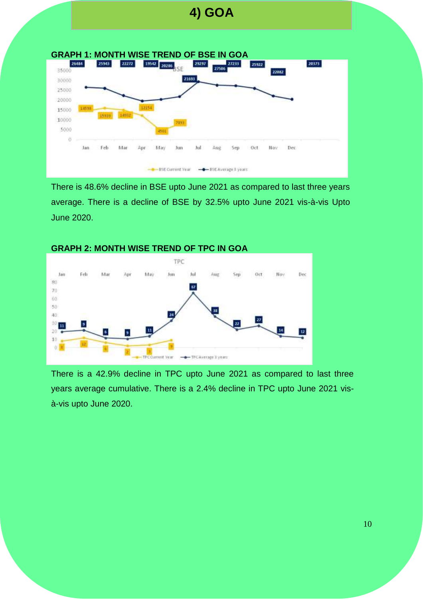# **4) GOA**



There is 48.6% decline in BSE upto June 2021 as compared to last three years average. There is a decline of BSE by 32.5% upto June 2021 vis-à-vis Upto June 2020.



#### **GRAPH 2: MONTH WISE TREND OF TPC IN GOA**

There is a 42.9% decline in TPC upto June 2021 as compared to last three years average cumulative. There is a 2.4% decline in TPC upto June 2021 visà-vis upto June 2020.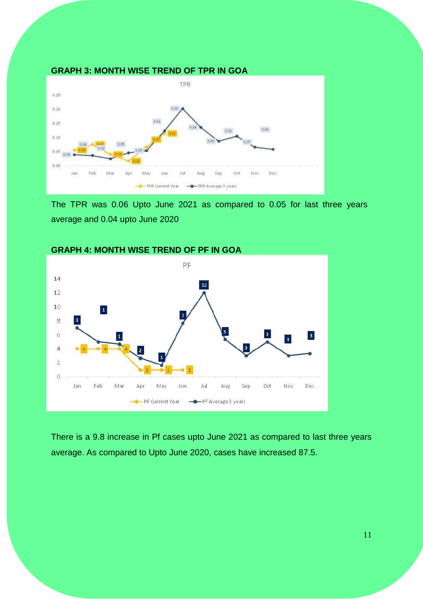

The TPR was 0.06 Upto June 2021 as compared to 0.05 for last three years average and 0.04 upto June 2020



#### **GRAPH 4: MONTH WISE TREND OF PF IN GOA**

There is a 9.8 increase in Pf cases upto June 2021 as compared to last three years average. As compared to Upto June 2020, cases have increased 87.5.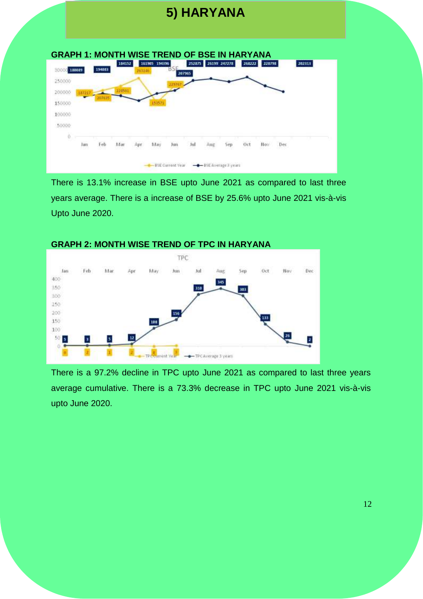# **5) HARYANA**

| 180039<br>3000 |     | 154083 | 184152 | 163146       | 161905 194396 |     | 252875 |     | 26199 247278 | 268222 | 228798 |     | 202313 |  |
|----------------|-----|--------|--------|--------------|---------------|-----|--------|-----|--------------|--------|--------|-----|--------|--|
| 250000         |     |        |        |              |               |     | 207965 |     |              |        |        |     |        |  |
| 200000         |     |        | 22051  |              |               |     |        |     |              |        |        |     |        |  |
| 150000         |     |        |        |              |               |     |        |     |              |        |        |     |        |  |
| 100000         |     |        |        |              |               |     |        |     |              |        |        |     |        |  |
| 50000          |     |        |        |              |               |     |        |     |              |        |        |     |        |  |
| ö<br>x         |     |        |        |              |               |     |        |     |              |        |        |     |        |  |
|                | lan | Feb    | Mar    | <b>A</b> 131 | May           | Jun | Jul    | Aus | ext1         | Öct    | Nov    | Dec |        |  |

There is 13.1% increase in BSE upto June 2021 as compared to last three years average. There is a increase of BSE by 25.6% upto June 2021 vis-à-vis Upto June 2020.



#### **GRAPH 2: MONTH WISE TREND OF TPC IN HARYANA**

There is a 97.2% decline in TPC upto June 2021 as compared to last three years average cumulative. There is a 73.3% decrease in TPC upto June 2021 vis-à-vis upto June 2020.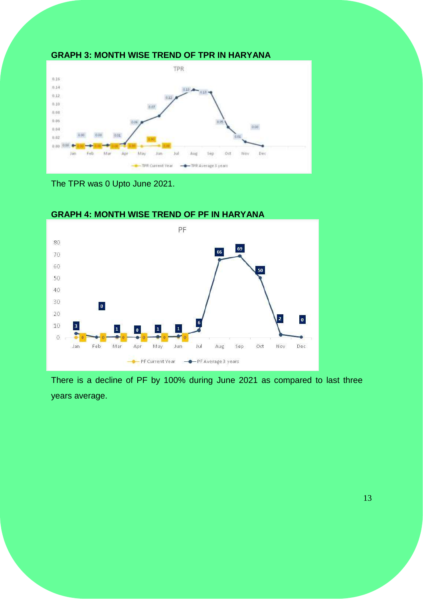

The TPR was 0 Upto June 2021.



#### **GRAPH 4: MONTH WISE TREND OF PF IN HARYANA**

There is a decline of PF by 100% during June 2021 as compared to last three years average.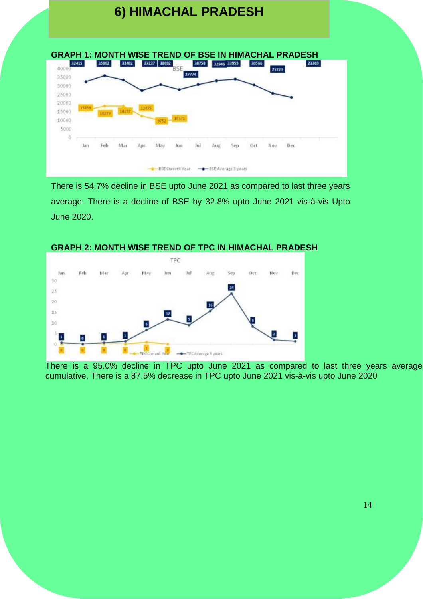



There is 54.7% decline in BSE upto June 2021 as compared to last three years average. There is a decline of BSE by 32.8% upto June 2021 vis-à-vis Upto June 2020.

#### **GRAPH 2: MONTH WISE TREND OF TPC IN HIMACHAL PRADESH**



There is a 95.0% decline in TPC upto June 2021 as compared to last three years average cumulative. There is a 87.5% decrease in TPC upto June 2021 vis-à-vis upto June 2020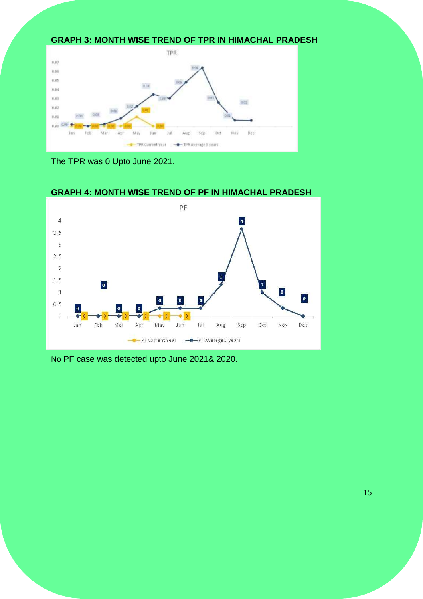#### **GRAPH 3: MONTH WISE TREND OF TPR IN HIMACHAL PRADESH**



The TPR was 0 Upto June 2021.



#### **GRAPH 4: MONTH WISE TREND OF PF IN HIMACHAL PRADESH**

No PF case was detected upto June 2021& 2020.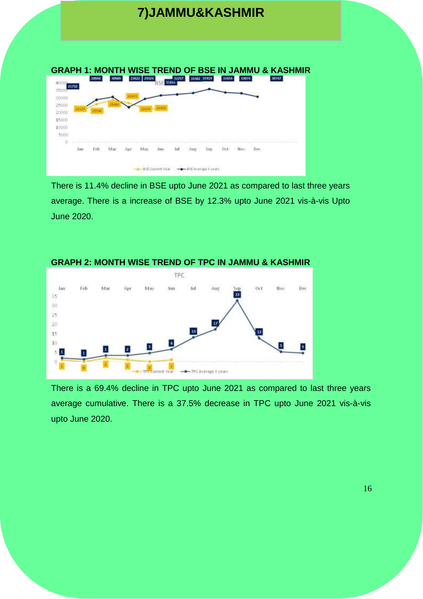# **7)JAMMU&KASHMIR**

| 21732                   | 28666 |  | 23622 23524 | 31655 | 32257 | 33302 35919 |  | 33074 | 30747 |
|-------------------------|-------|--|-------------|-------|-------|-------------|--|-------|-------|
| 30000<br>25000          |       |  |             |       |       |             |  |       |       |
| 222.3<br>20000<br>15000 |       |  |             |       |       |             |  |       |       |
| 10000                   |       |  |             |       |       |             |  |       |       |
|                         |       |  |             |       |       |             |  |       |       |
| 5000<br>ä               | Feb   |  |             |       |       |             |  |       |       |

There is 11.4% decline in BSE upto June 2021 as compared to last three years average. There is a increase of BSE by 12.3% upto June 2021 vis-à-vis Upto June 2020.



There is a 69.4% decline in TPC upto June 2021 as compared to last three years average cumulative. There is a 37.5% decrease in TPC upto June 2021 vis-à-vis upto June 2020.

#### **GRAPH 2: MONTH WISE TREND OF TPC IN JAMMU & KASHMIR**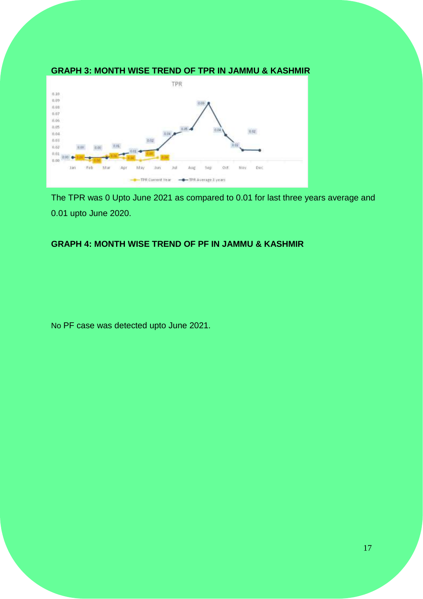

The TPR was 0 Upto June 2021 as compared to 0.01 for last three years average and 0.01 upto June 2020.

#### **GRAPH 4: MONTH WISE TREND OF PF IN JAMMU & KASHMIR**

No PF case was detected upto June 2021.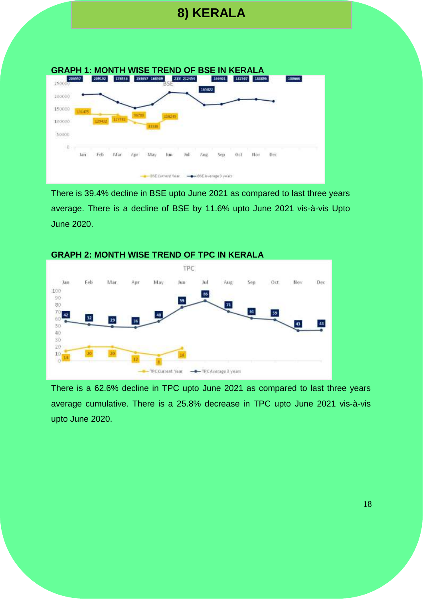# **8) KERALA**



There is 39.4% decline in BSE upto June 2021 as compared to last three years average. There is a decline of BSE by 11.6% upto June 2021 vis-à-vis Upto June 2020.



There is a 62.6% decline in TPC upto June 2021 as compared to last three years average cumulative. There is a 25.8% decrease in TPC upto June 2021 vis-à-vis upto June 2020.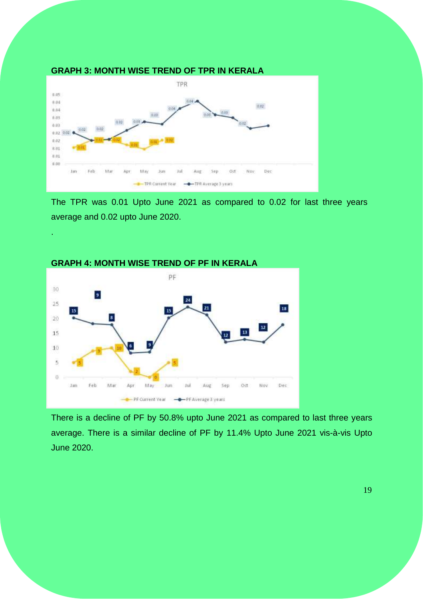

The TPR was 0.01 Upto June 2021 as compared to 0.02 for last three years average and 0.02 upto June 2020.



.

There is a decline of PF by 50.8% upto June 2021 as compared to last three years average. There is a similar decline of PF by 11.4% Upto June 2021 vis-à-vis Upto June 2020.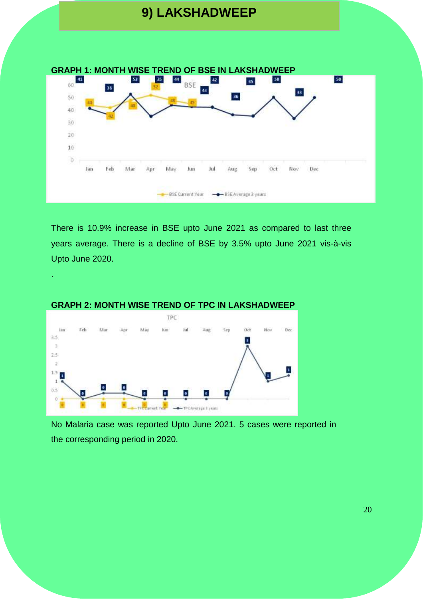



There is 10.9% increase in BSE upto June 2021 as compared to last three years average. There is a decline of BSE by 3.5% upto June 2021 vis-à-vis Upto June 2020.



#### **GRAPH 2: MONTH WISE TREND OF TPC IN LAKSHADWEEP**

.

No Malaria case was reported Upto June 2021. 5 cases were reported in the corresponding period in 2020.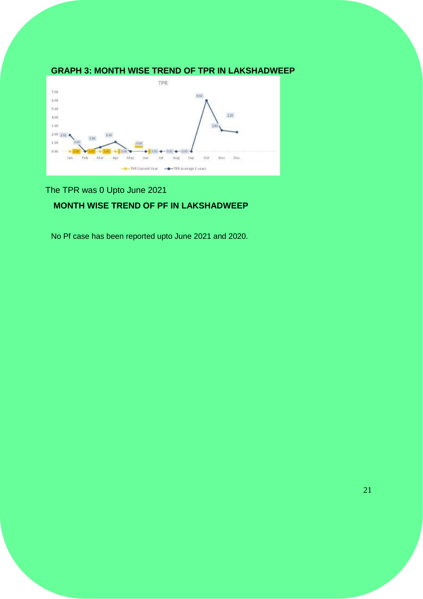#### **GRAPH 3: MONTH WISE TREND OF TPR IN LAKSHADWEEP**



The TPR was 0 Upto June 2021

#### **MONTH WISE TREND OF PF IN LAKSHADWEEP**

No Pf case has been reported upto June 2021 and 2020.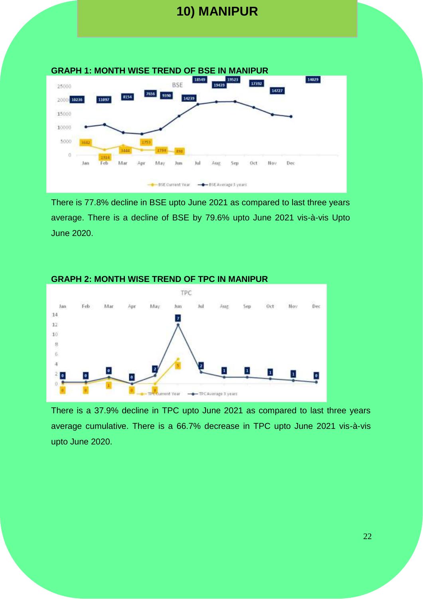# **10) MANIPUR**



There is 77.8% decline in BSE upto June 2021 as compared to last three years average. There is a decline of BSE by 79.6% upto June 2021 vis-à-vis Upto June 2020.



#### **GRAPH 2: MONTH WISE TREND OF TPC IN MANIPUR**

There is a 37.9% decline in TPC upto June 2021 as compared to last three years average cumulative. There is a 66.7% decrease in TPC upto June 2021 vis-à-vis upto June 2020.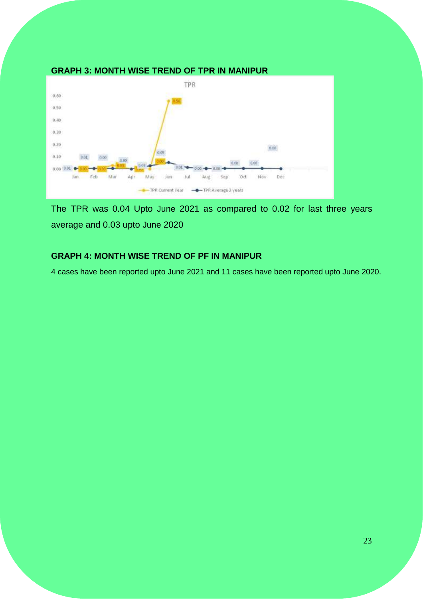

#### **GRAPH 3: MONTH WISE TREND OF TPR IN MANIPUR**

The TPR was 0.04 Upto June 2021 as compared to 0.02 for last three years average and 0.03 upto June 2020

#### **GRAPH 4: MONTH WISE TREND OF PF IN MANIPUR**

4 cases have been reported upto June 2021 and 11 cases have been reported upto June 2020.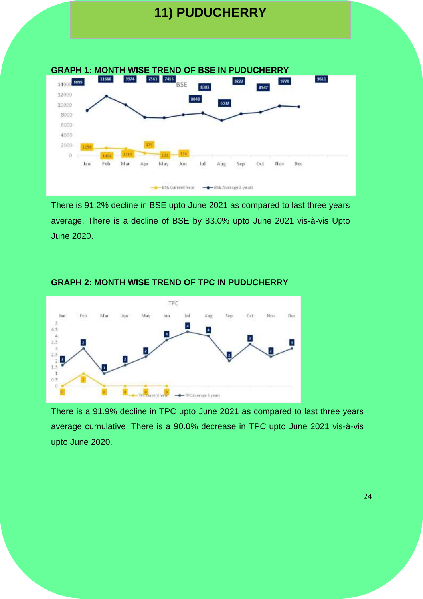# **11) PUDUCHERRY**



There is 91.2% decline in BSE upto June 2021 as compared to last three years average. There is a decline of BSE by 83.0% upto June 2021 vis-à-vis Upto June 2020.



#### **GRAPH 2: MONTH WISE TREND OF TPC IN PUDUCHERRY**

There is a 91.9% decline in TPC upto June 2021 as compared to last three years average cumulative. There is a 90.0% decrease in TPC upto June 2021 vis-à-vis upto June 2020.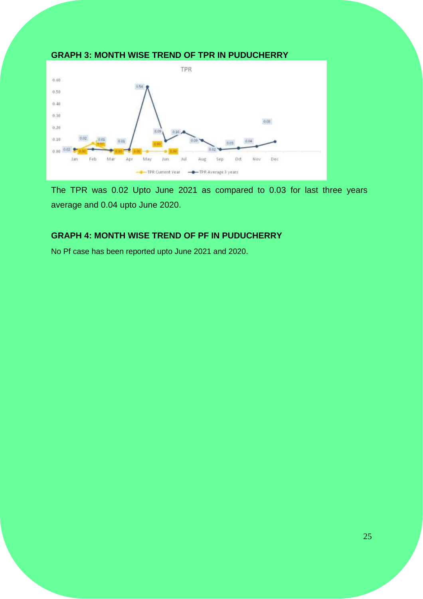#### **GRAPH 3: MONTH WISE TREND OF TPR IN PUDUCHERRY**



The TPR was 0.02 Upto June 2021 as compared to 0.03 for last three years average and 0.04 upto June 2020.

#### **GRAPH 4: MONTH WISE TREND OF PF IN PUDUCHERRY**

No Pf case has been reported upto June 2021 and 2020.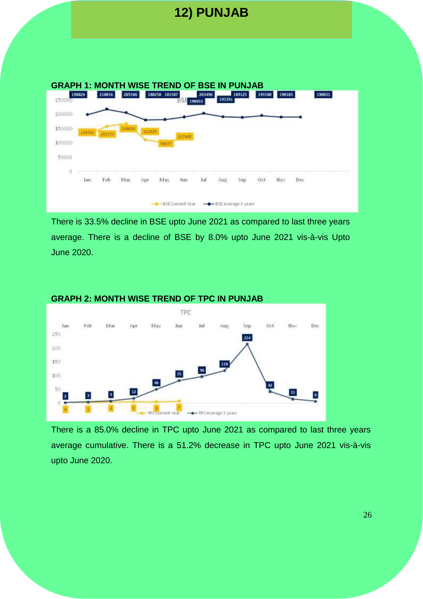

**12) PUNJAB**

There is 33.5% decline in BSE upto June 2021 as compared to last three years average. There is a decline of BSE by 8.0% upto June 2021 vis-à-vis Upto June 2020.



#### **GRAPH 2: MONTH WISE TREND OF TPC IN PUNJAB**

There is a 85.0% decline in TPC upto June 2021 as compared to last three years average cumulative. There is a 51.2% decrease in TPC upto June 2021 vis-à-vis upto June 2020.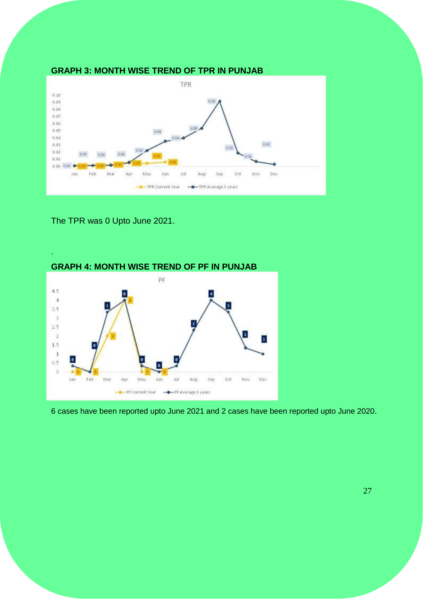

The TPR was 0 Upto June 2021.



6 cases have been reported upto June 2021 and 2 cases have been reported upto June 2020.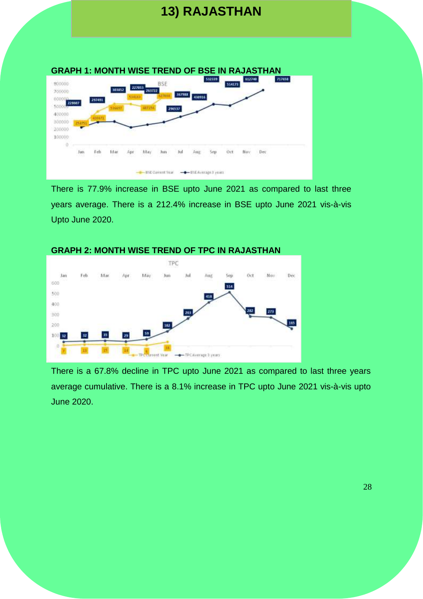# **13) RAJASTHAN**



There is 77.9% increase in BSE upto June 2021 as compared to last three years average. There is a 212.4% increase in BSE upto June 2021 vis-à-vis Upto June 2020.



There is a 67.8% decline in TPC upto June 2021 as compared to last three years average cumulative. There is a 8.1% increase in TPC upto June 2021 vis-à-vis upto June 2020.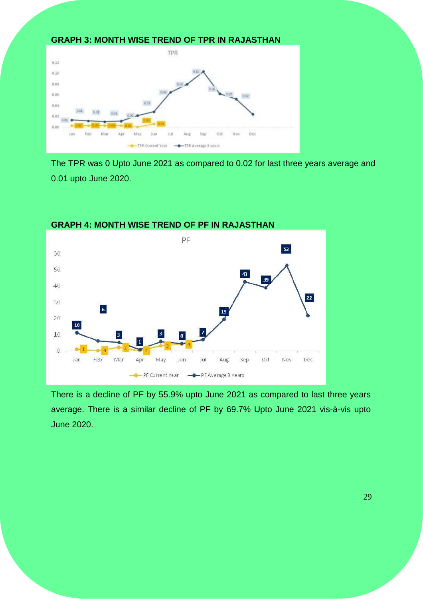



The TPR was 0 Upto June 2021 as compared to 0.02 for last three years average and 0.01 upto June 2020.



There is a decline of PF by 55.9% upto June 2021 as compared to last three years average. There is a similar decline of PF by 69.7% Upto June 2021 vis-à-vis upto June 2020.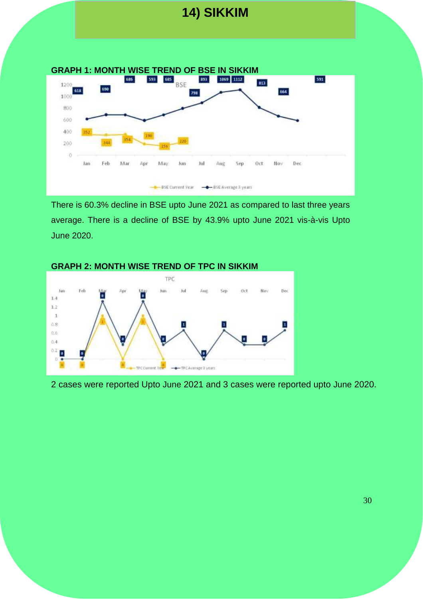# **14) SIKKIM**



There is 60.3% decline in BSE upto June 2021 as compared to last three years average. There is a decline of BSE by 43.9% upto June 2021 vis-à-vis Upto June 2020.



2 cases were reported Upto June 2021 and 3 cases were reported upto June 2020.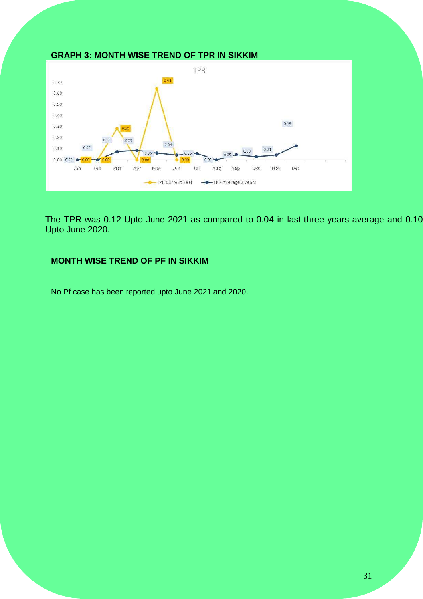

The TPR was 0.12 Upto June 2021 as compared to 0.04 in last three years average and 0.10 Upto June 2020.

#### **MONTH WISE TREND OF PF IN SIKKIM**

No Pf case has been reported upto June 2021 and 2020.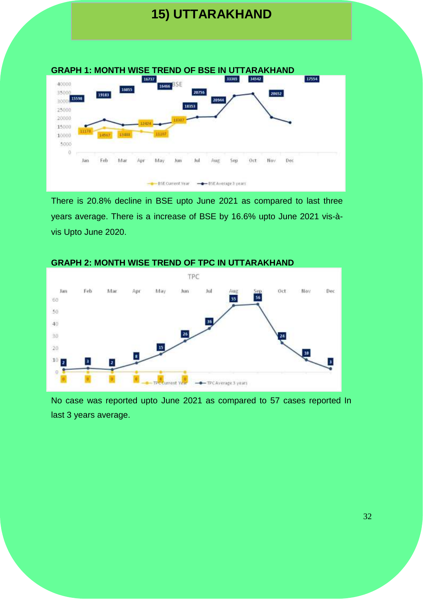# **15) UTTARAKHAND**



There is 20.8% decline in BSE upto June 2021 as compared to last three years average. There is a increase of BSE by 16.6% upto June 2021 vis-àvis Upto June 2020.



#### **GRAPH 2: MONTH WISE TREND OF TPC IN UTTARAKHAND**

No case was reported upto June 2021 as compared to 57 cases reported In last 3 years average.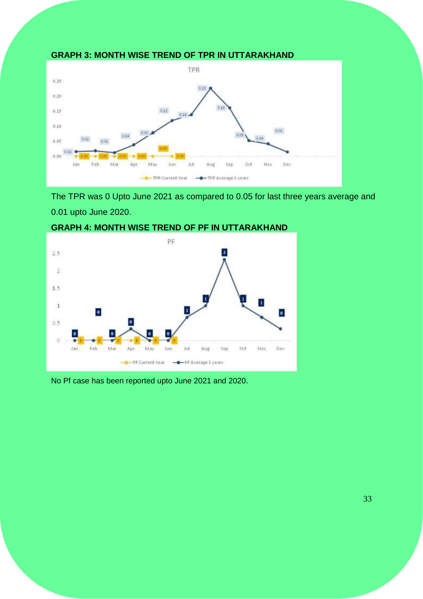

The TPR was 0 Upto June 2021 as compared to 0.05 for last three years average and 0.01 upto June 2020.



#### **GRAPH 4: MONTH WISE TREND OF PF IN UTTARAKHAND**

No Pf case has been reported upto June 2021 and 2020.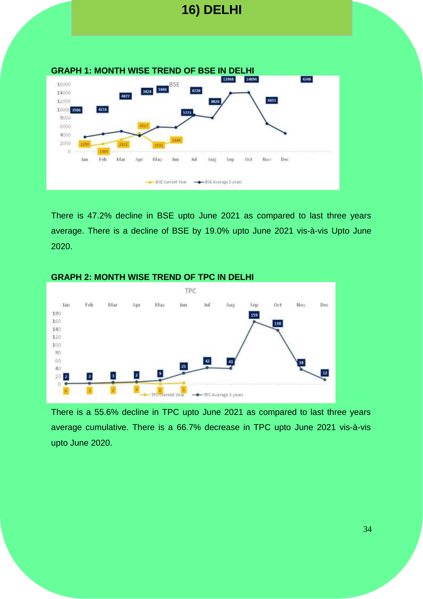

**16) DELHI**

There is 47.2% decline in BSE upto June 2021 as compared to last three years average. There is a decline of BSE by 19.0% upto June 2021 vis-à-vis Upto June 2020.



#### **GRAPH 2: MONTH WISE TREND OF TPC IN DELHI**

There is a 55.6% decline in TPC upto June 2021 as compared to last three years average cumulative. There is a 66.7% decrease in TPC upto June 2021 vis-à-vis upto June 2020.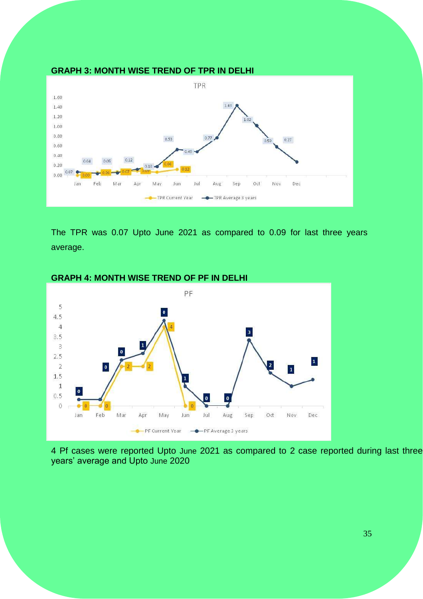

The TPR was 0.07 Upto June 2021 as compared to 0.09 for last three years average.



#### **GRAPH 4: MONTH WISE TREND OF PF IN DELHI**

4 Pf cases were reported Upto June 2021 as compared to 2 case reported during last three years' average and Upto June 2020